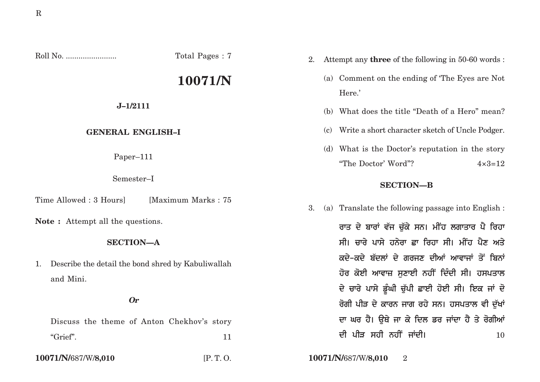$Roll No.$ 

Total Pages: 7

# 10071/N

 $J-1/2111$ 

## **GENERAL ENGLISH-I**

Paper-111

Semester-I

Time Allowed: 3 Hours] [Maximum Marks: 75

**Note:** Attempt all the questions.

### **SECTION-A**

Describe the detail the bond shred by Kabuliwallah  $1_{\cdot}$ and Mini.

#### $\boldsymbol{0}$ r

Discuss the theme of Anton Chekhov's story "Grief".  $11$ 

10071/N/687/W/8,010

 $IP. T. O.$ 

- Attempt any **three** of the following in 50-60 words: 2.
	- (a) Comment on the ending of 'The Eyes are Not Here.'
	- (b) What does the title "Death of a Hero" mean?
	- (c) Write a short character sketch of Uncle Podger.
	- (d) What is the Doctor's reputation in the story "The Doctor' Word"?  $4 \times 3 = 12$

## **SECTION-B**

(a) Translate the following passage into English : 3.

> ਰਾਤ ਦੇ ਬਾਰਾਂ ਵੱਜ ਚੱਕੇ ਸਨ। ਮੀਂਹ ਲਗਾਤਾਰ ਪੈ ਰਿਹਾ ਸੀ। ਚਾਰੇ ਪਾਸੇ ਹਨੇਰਾ ਛਾ ਰਿਹਾ ਸੀ। ਮੀਂਹ ਪੈਣ ਅਤੇ ਕਦੇ-ਕਦੇ ਬੱਦਲਾਂ ਦੇ ਗਰਜੁਣ ਦੀਆਂ ਆਵਾਜਾਂ ਤੋਂ ਬਿਨਾਂ ਹੋਰ ਕੋਈ ਆਵਾਜ਼ ਸਣਾਈ ਨਹੀਂ ਦਿੰਦੀ ਸੀ। ਹਸਪਤਾਲ ਦੇ ਚਾਰੇ ਪਾਸੇ ਡੂੰਘੀ ਚੁੱਪੀ ਛਾਈ ਹੋਈ ਸੀ। ਇਕ ਜਾਂ ਦੋ ਰੋਗੀ ਪੀੜ ਦੇ ਕਾਰਨ ਜਾਗ ਰਹੇ ਸਨ। ਹਸਪਤਾਲ ਵੀ ਦੱਖਾਂ ਦਾ ਘਰ ਹੈ। ਉਥੇ ਜਾ ਕੇ ਦਿਲ ਡਰ ਜਾਂਦਾ ਹੈ ਤੇ ਰੋਗੀਆਂ ਦੀ ਪੀੜ ਸਹੀ ਨਹੀਂ ਜਾਂਦੀ। **10**

10071/N/687/W/8,010  $\overline{2}$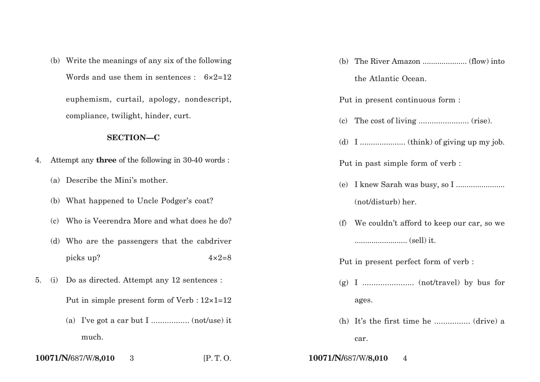(b) Write the meanings of any six of the following Words and use them in sentences :  $6 \times 2 = 12$ euphemism, curtail, apology, nondescript,

compliance, twilight, hinder, curt.

## **SECTION—C**

- 4. Attempt any **three** of the following in 30-40 words :
	- (a) Describe the Mini's mother.
	- (b) What happened to Uncle Podger's coat?
	- (c) Who is Veerendra More and what does he do?
	- (d) Who are the passengers that the cabdriver picks up?  $4 \times 2=8$
- 5. (i) Do as directed. Attempt any 12 sentences :

Put in simple present form of Verb : 12×1=12

(a) I've got a car but I ................. (not/use) it much.

**10071/N/**687/W/**8,010** 3 [P. T. O. **10071/N/**687/W/**8,010** 4

|     | the Atlantic Ocean.                           |
|-----|-----------------------------------------------|
|     | Put in present continuous form :              |
|     |                                               |
|     |                                               |
|     | Put in past simple form of verb :             |
| (e) |                                               |
|     | (not/disturb) her.                            |
|     | (f) We couldn't afford to keep our car, so we |
|     |                                               |
|     | Put in present perfect form of verb:          |
|     |                                               |
|     | ages.                                         |
|     | (h) It's the first time he  (drive) a         |
|     | car.                                          |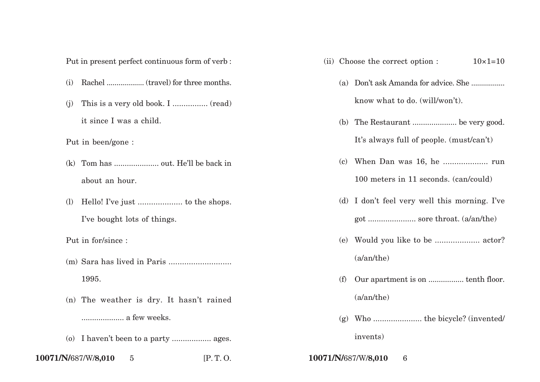Put in present perfect continuous form of verb :

- (i) Rachel ................... (travel) for three months.
- (j) This is a very old book. I ................ (read) it since I was a child.

Put in been/gone :

- (k) Tom has ..................... out. He'll be back in about an hour.
- (l) Hello! I've just .................... to the shops. I've bought lots of things.

Put in for/since :

- (m) Sara has lived in Paris ............................ 1995.
- (n) The weather is dry. It hasn't rained .................... a few weeks.
- (o) I haven't been to a party .................. ages.
- **10071/N/**687/W/**8,010** 5 [P. T. O. **10071/N/**687/W/**8,010** 6
- (ii) Choose the correct option :  $10\times1=10$ 
	- (a) Don't ask Amanda for advice. She ................. know what to do. (will/won't).
	- (b) The Restaurant ..................... be very good. It's always full of people. (must/can't)
	- (c) When Dan was 16, he .................... run 100 meters in 11 seconds. (can/could)
	- (d) I don't feel very well this morning. I've got ...................... sore throat. (a/an/the)
	- (e) Would you like to be .................... actor? (a/an/the)
	- (f) Our apartment is on ................. tenth floor. (a/an/the)
	- (g) Who ...................... the bicycle? (invented/ invents)
-